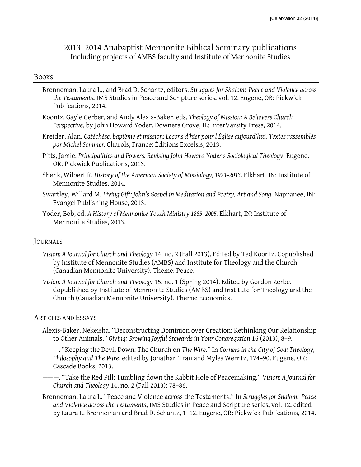## 2013–2014 Anabaptist Mennonite Biblical Seminary publications Including projects of AMBS faculty and Institute of Mennonite Studies

## BOOKS

- Brenneman, Laura L., and Brad D. Schantz, editors. *Struggles for Shalom: Peace and Violence across the Testaments*, IMS Studies in Peace and Scripture series, vol. 12. Eugene, OR: Pickwick Publications, 2014.
- Koontz, Gayle Gerber, and Andy Alexis-Baker, eds. *Theology of Mission: A Believers Church Perspective*, by John Howard Yoder. Downers Grove, IL: InterVarsity Press, 2014.
- Kreider, Alan. *Catéchèse, baptême et mission: Leçons d'hier pour l'Église aujourd'hui. Textes rassemblés par Michel Sommer.* Charols, France: Éditions Excelsis, 2013.
- Pitts, Jamie. *Principalities and Powers: Revising John Howard Yoder's Sociological Theology*. Eugene, OR: Pickwick Publications, 2013.
- Shenk, Wilbert R. *History of the American Society of Missiology, 1973–2013*. Elkhart, IN: Institute of Mennonite Studies, 2014.
- Swartley, Willard M. *Living Gift: John's Gospel in Meditation and Poetry, Art and Song*. Nappanee, IN: Evangel Publishing House, 2013.
- Yoder, Bob, ed. *A History of Mennonite Youth Ministry 1885–2005.* Elkhart, IN: Institute of Mennonite Studies, 2013.

## JOURNALS

- *Vision: A Journal for Church and Theology* 14, no. 2 (Fall 2013). Edited by Ted Koontz. Copublished by Institute of Mennonite Studies (AMBS) and Institute for Theology and the Church (Canadian Mennonite University). Theme: Peace.
- *Vision: A Journal for Church and Theology* 15, no. 1 (Spring 2014). Edited by Gordon Zerbe. Copublished by Institute of Mennonite Studies (AMBS) and Institute for Theology and the Church (Canadian Mennonite University). Theme: Economics.

## ARTICLES AND ESSAYS

- Alexis-Baker, Nekeisha. "Deconstructing Dominion over Creation: Rethinking Our Relationship to Other Animals." *Giving: Growing Joyful Stewards in Your Congregation* 16 (2013), 8–9.
- ———. "Keeping the Devil Down: The Church on *The Wire*." In *Corners in the City of God: Theology, Philosophy and The Wire*, edited by Jonathan Tran and Myles Werntz, 174–90. Eugene, OR: Cascade Books, 2013.
- ———. "Take the Red Pill: Tumbling down the Rabbit Hole of Peacemaking." *Vision: A Journal for Church and Theology* 14, no. 2 (Fall 2013): 78–86.
- Brenneman, Laura L. "Peace and Violence across the Testaments." In *Struggles for Shalom: Peace and Violence across the Testaments*, IMS Studies in Peace and Scripture series, vol. 12, edited by Laura L. Brenneman and Brad D. Schantz, 1–12. Eugene, OR: Pickwick Publications, 2014.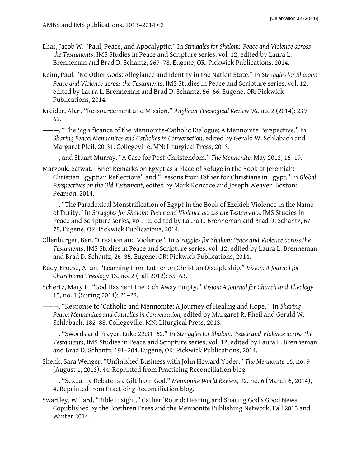- Elias, Jacob W. "Paul, Peace, and Apocalyptic." In *Struggles for Shalom: Peace and Violence across the Testaments*, IMS Studies in Peace and Scripture series, vol. 12, edited by Laura L. Brenneman and Brad D. Schantz, 267–78. Eugene, OR: Pickwick Publications, 2014.
- Keim, Paul. "No Other Gods: Allegiance and Identity in the Nation State." In *Struggles for Shalom: Peace and Violence across the Testaments*, IMS Studies in Peace and Scripture series, vol. 12, edited by Laura L. Brenneman and Brad D. Schantz, 56–66. Eugene, OR: Pickwick Publications, 2014.
- Kreider, Alan. "Ressourcement and Mission." *Anglican Theological Review* 96, no. 2 (2014): 239– 62.

———. "The Significance of the Mennonite-Catholic Dialogue: A Mennonite Perspective." In *Sharing Peace: Mennonites and Catholics in Conversation,* edited by Gerald W. Schlabach and Margaret Pfeil, 20-31. Collegeville, MN: Liturgical Press, 2013.

———, and Stuart Murray. "A Case for Post-Christendom." *The Mennonite,* May 2013, 16–19.

- Marzouk, Safwat. "Brief Remarks on Egypt as a Place of Refuge in the Book of Jeremiah: Christian Egyptian Reflections" and "Lessons from Esther for Christians in Egypt." In *Global Perspectives on the Old Testament*, edited by Mark Roncace and Joseph Weaver. Boston: Pearson, 2014.
- ———. "The Paradoxical Monstrification of Egypt in the Book of Ezekiel: Violence in the Name of Purity." In *Struggles for Shalom: Peace and Violence across the Testaments,* IMS Studies in Peace and Scripture series, vol. 12, edited by Laura L. Brenneman and Brad D. Schantz, 67– 78. Eugene, OR: Pickwick Publications, 2014.
- Ollenburger, Ben. "Creation and Violence." In *Struggles for Shalom: Peace and Violence across the Testaments*, IMS Studies in Peace and Scripture series, vol. 12, edited by Laura L. Brenneman and Brad D. Schantz, 26–35. Eugene, OR: Pickwick Publications, 2014.
- Rudy-Froese, Allan. "Learning from Luther on Christian Discipleship." *Vision: A Journal for Church and Theology* 13, no. 2 (Fall 2012): 55–63.
- Schertz, Mary H. "God Has Sent the Rich Away Empty." *Vision: A Journal for Church and Theology* 15, no. 1 (Spring 2014): 21–28.
- ———. "Response to 'Catholic and Mennonite: A Journey of Healing and Hope.'" In *Sharing Peace: Mennonites and Catholics in Conversation,* edited by Margaret R. Pheil and Gerald W. Schlabach, 182–88. Collegeville, MN: Liturgical Press, 2013.

———. "Swords and Prayer: Luke 22:31–62." In *Struggles for Shalom: Peace and Violence across the Testaments*, IMS Studies in Peace and Scripture series, vol. 12, edited by Laura L. Brenneman and Brad D. Schantz, 191–204. Eugene, OR: Pickwick Publications, 2014.

Shenk, Sara Wenger. "Unfinished Business with John Howard Yoder." *The Mennonite* 16, no. 9 (August 1, 2013), 44. Reprinted from Practicing Reconciliation blog.

———. "Sexuality Debate Is a Gift from God." *Mennonite World Review,* 92, no. 6 (March 6, 2014), 4. Reprinted from Practicing Reconciliation blog.

Swartley, Willard. "Bible Insight." Gather 'Round: Hearing and Sharing God's Good News. Copublished by the Brethren Press and the Mennonite Publishing Network, Fall 2013 and Winter 2014.